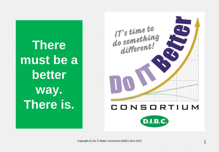**There must be a better way. There is.**

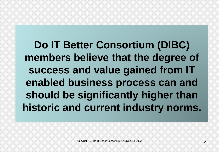**Do IT Better Consortium (DIBC) members believe that the degree of success and value gained from IT enabled business process can and should be significantly higher than historic and current industry norms.**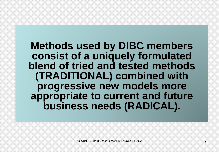## **Methods used by DIBC members consist of a uniquely formulated blend of tried and tested methods (TRADITIONAL) combined with progressive new models more appropriate to current and future business needs (RADICAL).**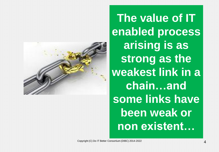

**The value of IT enabled process arising is as strong as the weakest link in a chain…and some links have been weak or non existent…**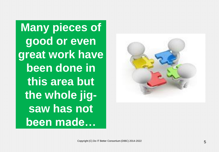**Many pieces of good or even great work have been done in this area but the whole jigsaw has not been made…**

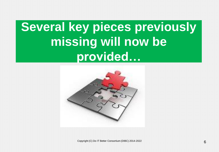## **Several key pieces previously missing will now be provided…**



Copyright (C) Do IT Better Consortium (DIBC) 2014-2022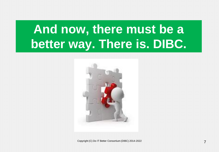## **And now, there must be a better way. There is. DIBC.**



Copyright (C) Do IT Better Consortium (DIBC) 2014-2022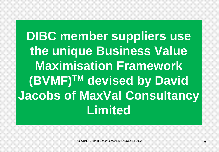**DIBC member suppliers use the unique Business Value Maximisation Framework (BVMF)TM devised by David Jacobs of MaxVal Consultancy Limited**